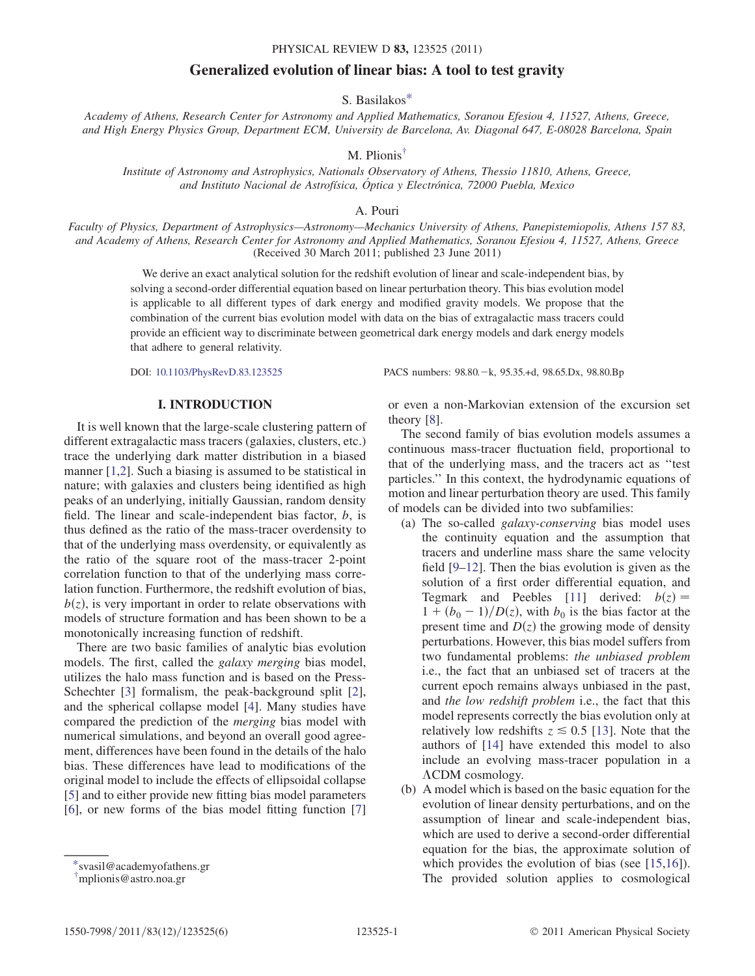# Generalized evolution of linear bias: A tool to test gravity

S. Basilako[s\\*](#page-0-0)

<span id="page-0-3"></span><span id="page-0-2"></span>Academy of Athens, Research Center for Astronomy and Applied Mathematics, Soranou Efesiou 4, 11527, Athens, Greece, and High Energy Physics Group, Department ECM, University de Barcelona, Av. Diagonal 647, E-08028 Barcelona, Spain

M. Plionis[†](#page-0-1)

Institute of Astronomy and Astrophysics, Nationals Observatory of Athens, Thessio 11810, Athens, Greece, and Instituto Nacional de Astrofísica, Óptica y Electrónica, 72000 Puebla, Mexico

A. Pouri

Faculty of Physics, Department of Astrophysics—Astronomy—Mechanics University of Athens, Panepistemiopolis, Athens 157 83, and Academy of Athens, Research Center for Astronomy and Applied Mathematics, Soranou Efesiou 4, 11527, Athens, Greece (Received 30 March 2011; published 23 June 2011)

We derive an exact analytical solution for the redshift evolution of linear and scale-independent bias, by solving a second-order differential equation based on linear perturbation theory. This bias evolution model is applicable to all different types of dark energy and modified gravity models. We propose that the combination of the current bias evolution model with data on the bias of extragalactic mass tracers could provide an efficient way to discriminate between geometrical dark energy models and dark energy models that adhere to general relativity.

DOI: [10.1103/PhysRevD.83.123525](http://dx.doi.org/10.1103/PhysRevD.83.123525) PACS numbers: 98.80.k, 95.35.+d, 98.65.Dx, 98.80.Bp

# I. INTRODUCTION

It is well known that the large-scale clustering pattern of different extragalactic mass tracers (galaxies, clusters, etc.) trace the underlying dark matter distribution in a biased manner [[1](#page-4-0)[,2\]](#page-4-1). Such a biasing is assumed to be statistical in nature; with galaxies and clusters being identified as high peaks of an underlying, initially Gaussian, random density field. The linear and scale-independent bias factor, b, is thus defined as the ratio of the mass-tracer overdensity to that of the underlying mass overdensity, or equivalently as the ratio of the square root of the mass-tracer 2-point correlation function to that of the underlying mass correlation function. Furthermore, the redshift evolution of bias,  $b(z)$ , is very important in order to relate observations with models of structure formation and has been shown to be a monotonically increasing function of redshift.

There are two basic families of analytic bias evolution models. The first, called the galaxy merging bias model, utilizes the halo mass function and is based on the Press-Schechter [\[3\]](#page-4-2) formalism, the peak-background split [[2\]](#page-4-1), and the spherical collapse model [\[4](#page-4-3)]. Many studies have compared the prediction of the merging bias model with numerical simulations, and beyond an overall good agreement, differences have been found in the details of the halo bias. These differences have lead to modifications of the original model to include the effects of ellipsoidal collapse [\[5\]](#page-4-4) and to either provide new fitting bias model parameters [\[6\]](#page-4-5), or new forms of the bias model fitting function [\[7\]](#page-4-6)

or even a non-Markovian extension of the excursion set theory [\[8](#page-4-7)].

The second family of bias evolution models assumes a continuous mass-tracer fluctuation field, proportional to that of the underlying mass, and the tracers act as ''test particles.'' In this context, the hydrodynamic equations of motion and linear perturbation theory are used. This family of models can be divided into two subfamilies:

- (a) The so-called galaxy-conserving bias model uses the continuity equation and the assumption that tracers and underline mass share the same velocity field [\[9–](#page-4-8)[12](#page-4-9)]. Then the bias evolution is given as the solution of a first order differential equation, and Tegmark and Peebles [[11](#page-4-10)] derived:  $b(z) =$  $1 + (b_0 - 1)/D(z)$ , with  $b_0$  is the bias factor at the present time and  $D(z)$  the growing mode of density perturbations. However, this bias model suffers from two fundamental problems: the unbiased problem i.e., the fact that an unbiased set of tracers at the current epoch remains always unbiased in the past, and the low redshift problem i.e., the fact that this model represents correctly the bias evolution only at relatively low redshifts  $z \le 0.5$  [\[13\]](#page-4-11). Note that the authors of [[14](#page-4-12)] have extended this model to also include an evolving mass-tracer population in a CDM cosmology.
- (b) A model which is based on the basic equation for the evolution of linear density perturbations, and on the assumption of linear and scale-independent bias, which are used to derive a second-order differential equation for the bias, the approximate solution of which provides the evolution of bias (see [[15](#page-4-13)[,16](#page-4-14)]). The provided solution applies to cosmological

<span id="page-0-0"></span>[<sup>\\*</sup>s](#page-0-2)vasil@academyofathens.gr

<span id="page-0-1"></span>[<sup>†</sup>](#page-0-3) mplionis@astro.noa.gr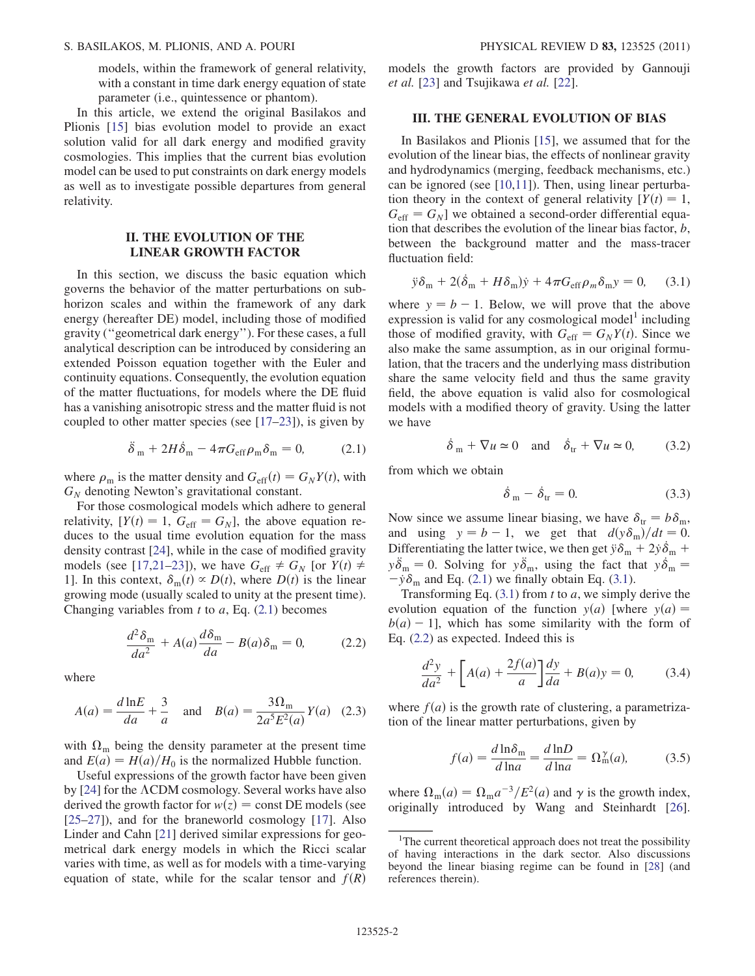models, within the framework of general relativity, with a constant in time dark energy equation of state parameter (i.e., quintessence or phantom).

In this article, we extend the original Basilakos and Plionis [[15](#page-4-13)] bias evolution model to provide an exact solution valid for all dark energy and modified gravity cosmologies. This implies that the current bias evolution model can be used to put constraints on dark energy models as well as to investigate possible departures from general relativity.

## II. THE EVOLUTION OF THE LINEAR GROWTH FACTOR

In this section, we discuss the basic equation which governs the behavior of the matter perturbations on subhorizon scales and within the framework of any dark energy (hereafter DE) model, including those of modified gravity (''geometrical dark energy''). For these cases, a full analytical description can be introduced by considering an extended Poisson equation together with the Euler and continuity equations. Consequently, the evolution equation of the matter fluctuations, for models where the DE fluid has a vanishing anisotropic stress and the matter fluid is not coupled to other matter species (see [[17](#page-4-15)[–23\]](#page-4-16)), is given by

$$
\ddot{\delta}_{m} + 2H\dot{\delta}_{m} - 4\pi G_{\text{eff}}\rho_{m}\delta_{m} = 0, \qquad (2.1)
$$

<span id="page-1-0"></span>where  $\rho_m$  is the matter density and  $G_{\text{eff}}(t) = G_N Y(t)$ , with  $G_N$  denoting Newton's gravitational constant.

For those cosmological models which adhere to general relativity,  $[Y(t) = 1, G_{\text{eff}} = G_N]$ , the above equation reduces to the usual time evolution equation for the mass density contrast [\[24\]](#page-4-17), while in the case of modified gravity models (see [[17,](#page-4-15)[21](#page-4-18)[–23\]](#page-4-16)), we have  $G_{\text{eff}} \neq G_N$  [or  $Y(t) \neq$ 1]. In this context,  $\delta_{m}(t) \propto D(t)$ , where  $D(t)$  is the linear growing mode (usually scaled to unity at the present time). Changing variables from  $t$  to  $a$ , Eq. ([2.1](#page-1-0)) becomes

<span id="page-1-2"></span>
$$
\frac{d^2\delta_{\rm m}}{da^2} + A(a)\frac{d\delta_{\rm m}}{da} - B(a)\delta_{\rm m} = 0, \qquad (2.2)
$$

where

$$
A(a) = \frac{d \ln E}{da} + \frac{3}{a} \quad \text{and} \quad B(a) = \frac{3\Omega_{\text{m}}}{2a^5 E^2(a)} Y(a) \quad (2.3)
$$

with  $\Omega_{\rm m}$  being the density parameter at the present time and  $E(a) = H(a)/H_0$  is the normalized Hubble function.

Useful expressions of the growth factor have been given by [\[24\]](#page-4-17) for the  $\Lambda$ CDM cosmology. Several works have also derived the growth factor for  $w(z) = \text{const}$  DE models (see [\[25–](#page-4-19)[27\]](#page-4-20)), and for the braneworld cosmology [\[17\]](#page-4-15). Also Linder and Cahn [\[21\]](#page-4-18) derived similar expressions for geometrical dark energy models in which the Ricci scalar varies with time, as well as for models with a time-varying equation of state, while for the scalar tensor and  $f(R)$  models the growth factors are provided by Gannouji et al. [[23](#page-4-16)] and Tsujikawa et al. [[22](#page-4-21)].

### <span id="page-1-5"></span>III. THE GENERAL EVOLUTION OF BIAS

In Basilakos and Plionis [[15](#page-4-13)], we assumed that for the evolution of the linear bias, the effects of nonlinear gravity and hydrodynamics (merging, feedback mechanisms, etc.) can be ignored (see [[10](#page-4-22),[11](#page-4-10)]). Then, using linear perturbation theory in the context of general relativity  $[Y(t) = 1,$  $G_{\text{eff}} = G_N$ ] we obtained a second-order differential equation that describes the evolution of the linear bias factor,  $b$ , between the background matter and the mass-tracer fluctuation field:

<span id="page-1-1"></span>
$$
\ddot{y}\delta_{\rm m} + 2(\dot{\delta}_{\rm m} + H\delta_{\rm m})\dot{y} + 4\pi G_{\rm eff}\rho_m\delta_{\rm m}y = 0, \quad (3.1)
$$

where  $y = b - 1$ . Below, we will prove that the above expression is valid for any cosmological model<sup>1</sup> including those of modified gravity, with  $G_{\text{eff}} = G_N Y(t)$ . Since we also make the same assumption, as in our original formulation, that the tracers and the underlying mass distribution share the same velocity field and thus the same gravity field, the above equation is valid also for cosmological models with a modified theory of gravity. Using the latter we have

$$
\dot{\delta}_{m} + \nabla u \simeq 0 \quad \text{and} \quad \dot{\delta}_{tr} + \nabla u \simeq 0, \quad (3.2)
$$

from which we obtain

$$
\dot{\delta}_{m} - \dot{\delta}_{tr} = 0. \tag{3.3}
$$

Now since we assume linear biasing, we have  $\delta_{tr} = b \delta_{m}$ , and using  $y = b - 1$ , we get that  $d(y\delta_{\rm m})/dt = 0$ . Differentiating the latter twice, we then get  $\ddot{y}\delta_m + 2\dot{y}\dot{\delta}_m + \ddot{\delta}_m$  $y\ddot{\delta}_{m} = 0$ . Solving for  $y\ddot{\delta}_{m}$ , using the fact that  $y\dot{\delta}_{m} =$  $-\dot{y}\delta_m$  and Eq. [\(2.1\)](#page-1-0) we finally obtain Eq. [\(3.1\)](#page-1-1).

Transforming Eq.  $(3.1)$  from t to a, we simply derive the evolution equation of the function  $y(a)$  [where  $y(a) =$  $b(a) - 1$ ], which has some similarity with the form of Eq. ([2.2](#page-1-2)) as expected. Indeed this is

<span id="page-1-4"></span>
$$
\frac{d^2y}{da^2} + \left[A(a) + \frac{2f(a)}{a}\right]\frac{dy}{da} + B(a)y = 0,\tag{3.4}
$$

<span id="page-1-3"></span>where  $f(a)$  is the growth rate of clustering, a parametrization of the linear matter perturbations, given by

$$
f(a) = \frac{d \ln \delta_{\mathbf{m}}}{d \ln a} = \frac{d \ln D}{d \ln a} = \Omega_{\mathbf{m}}^{\gamma}(a),\tag{3.5}
$$

where  $\Omega_{\rm m}(a) = \Omega_{\rm m} a^{-3}/E^2(a)$  and  $\gamma$  is the growth index, originally introduced by Wang and Steinhardt [[26\]](#page-4-23).

<sup>&</sup>lt;sup>1</sup>The current theoretical approach does not treat the possibility of having interactions in the dark sector. Also discussions beyond the linear biasing regime can be found in [[28](#page-4-24)] (and references therein).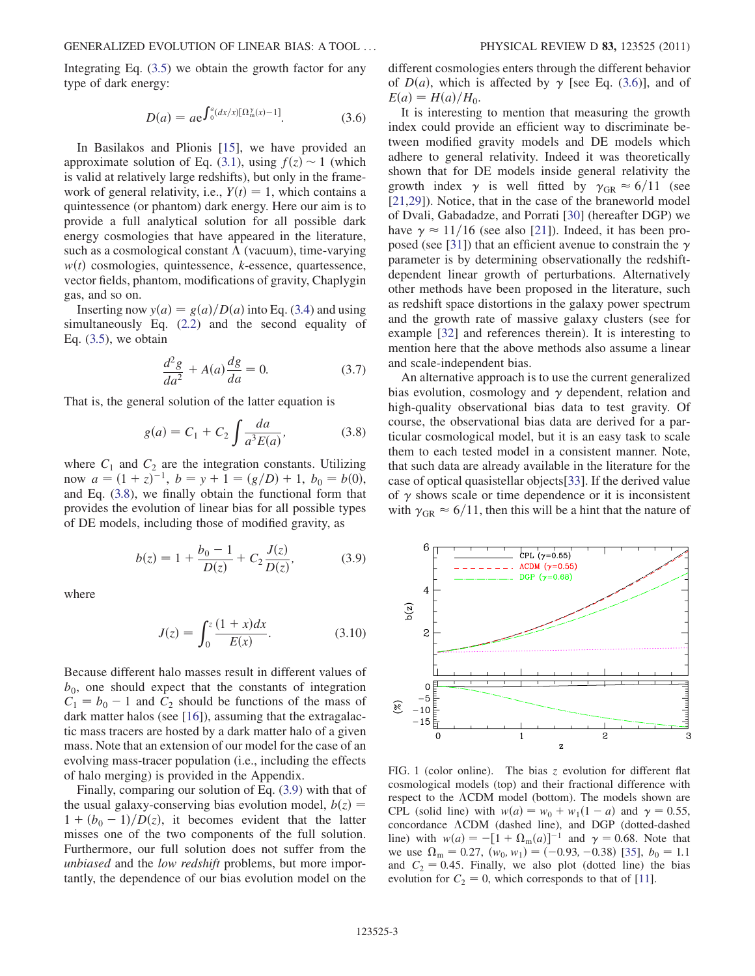<span id="page-2-2"></span>Integrating Eq. ([3.5](#page-1-3)) we obtain the growth factor for any type of dark energy:

$$
D(a) = a e^{\int_0^a (dx/x)[\Omega_m^{\gamma}(x) - 1]}.
$$
 (3.6)

In Basilakos and Plionis [[15](#page-4-13)], we have provided an approximate solution of Eq. ([3.1](#page-1-1)), using  $f(z) \sim 1$  (which is valid at relatively large redshifts), but only in the framework of general relativity, i.e.,  $Y(t) = 1$ , which contains a quintessence (or phantom) dark energy. Here our aim is to provide a full analytical solution for all possible dark energy cosmologies that have appeared in the literature, such as a cosmological constant  $\Lambda$  (vacuum), time-varying  $w(t)$  cosmologies, quintessence, k-essence, quartessence, vector fields, phantom, modifications of gravity, Chaplygin gas, and so on.

Inserting now  $y(a) = g(a)/D(a)$  into Eq. ([3.4](#page-1-4)) and using simultaneously Eq. ([2.2](#page-1-2)) and the second equality of Eq.  $(3.5)$  $(3.5)$  $(3.5)$ , we obtain

$$
\frac{d^2g}{da^2} + A(a)\frac{dg}{da} = 0.
$$
 (3.7)

<span id="page-2-0"></span>That is, the general solution of the latter equation is

$$
g(a) = C_1 + C_2 \int \frac{da}{a^3 E(a)},
$$
 (3.8)

<span id="page-2-1"></span>where  $C_1$  and  $C_2$  are the integration constants. Utilizing now  $a = (1 + z)^{-1}$ ,  $b = y + 1 = (g/D) + 1$ ,  $b_0 = b(0)$ , and Eq. [\(3.8\)](#page-2-0), we finally obtain the functional form that provides the evolution of linear bias for all possible types of DE models, including those of modified gravity, as

$$
b(z) = 1 + \frac{b_0 - 1}{D(z)} + C_2 \frac{J(z)}{D(z)},
$$
 (3.9)

<span id="page-2-4"></span>where

$$
J(z) = \int_0^z \frac{(1+x)dx}{E(x)}.
$$
 (3.10)

Because different halo masses result in different values of  $b_0$ , one should expect that the constants of integration  $C_1 = b_0 - 1$  and  $C_2$  should be functions of the mass of dark matter halos (see [\[16\]](#page-4-14)), assuming that the extragalactic mass tracers are hosted by a dark matter halo of a given mass. Note that an extension of our model for the case of an evolving mass-tracer population (i.e., including the effects of halo merging) is provided in the Appendix.

Finally, comparing our solution of Eq. ([3.9](#page-2-1)) with that of the usual galaxy-conserving bias evolution model,  $b(z)$  =  $1 + (b_0 - 1)/D(z)$ , it becomes evident that the latter misses one of the two components of the full solution. Furthermore, our full solution does not suffer from the unbiased and the *low redshift* problems, but more importantly, the dependence of our bias evolution model on the different cosmologies enters through the different behavior of  $D(a)$ , which is affected by  $\gamma$  [see Eq. [\(3.6\)](#page-2-2)], and of  $E(a) = H(a)/H_0$ .

It is interesting to mention that measuring the growth index could provide an efficient way to discriminate between modified gravity models and DE models which adhere to general relativity. Indeed it was theoretically shown that for DE models inside general relativity the growth index  $\gamma$  is well fitted by  $\gamma_{\text{GR}} \approx 6/11$  (see [\[21](#page-4-18)[,29\]](#page-5-0)). Notice, that in the case of the braneworld model of Dvali, Gabadadze, and Porrati [\[30\]](#page-5-1) (hereafter DGP) we have  $\gamma \approx 11/16$  (see also [[21](#page-4-18)]). Indeed, it has been pro-posed (see [\[31\]](#page-5-2)) that an efficient avenue to constrain the  $\gamma$ parameter is by determining observationally the redshiftdependent linear growth of perturbations. Alternatively other methods have been proposed in the literature, such as redshift space distortions in the galaxy power spectrum and the growth rate of massive galaxy clusters (see for example [\[32\]](#page-5-3) and references therein). It is interesting to mention here that the above methods also assume a linear and scale-independent bias.

An alternative approach is to use the current generalized bias evolution, cosmology and  $\gamma$  dependent, relation and high-quality observational bias data to test gravity. Of course, the observational bias data are derived for a particular cosmological model, but it is an easy task to scale them to each tested model in a consistent manner. Note, that such data are already available in the literature for the case of optical quasistellar objects[[33](#page-5-4)]. If the derived value of  $\gamma$  shows scale or time dependence or it is inconsistent with  $\gamma_{\text{GR}} \approx 6/11$ , then this will be a hint that the nature of

<span id="page-2-3"></span>

FIG. 1 (color online). The bias  $z$  evolution for different flat cosmological models (top) and their fractional difference with respect to the  $\Lambda$ CDM model (bottom). The models shown are CPL (solid line) with  $w(a) = w_0 + w_1(1 - a)$  and  $\gamma = 0.55$ , concordance  $\Lambda$ CDM (dashed line), and DGP (dotted-dashed line) with  $w(a) = -[1 + \Omega_{\text{m}}(a)]^{-1}$  and  $\gamma = 0.68$ . Note that we use  $\Omega_{\rm m} = 0.27$ ,  $(w_0, w_1) = (-0.93, -0.38)$  [\[35\]](#page-5-5),  $b_0 = 1.1$ and  $C_2 = 0.45$ . Finally, we also plot (dotted line) the bias evolution for  $C_2 = 0$ , which corresponds to that of [\[11](#page-4-10)].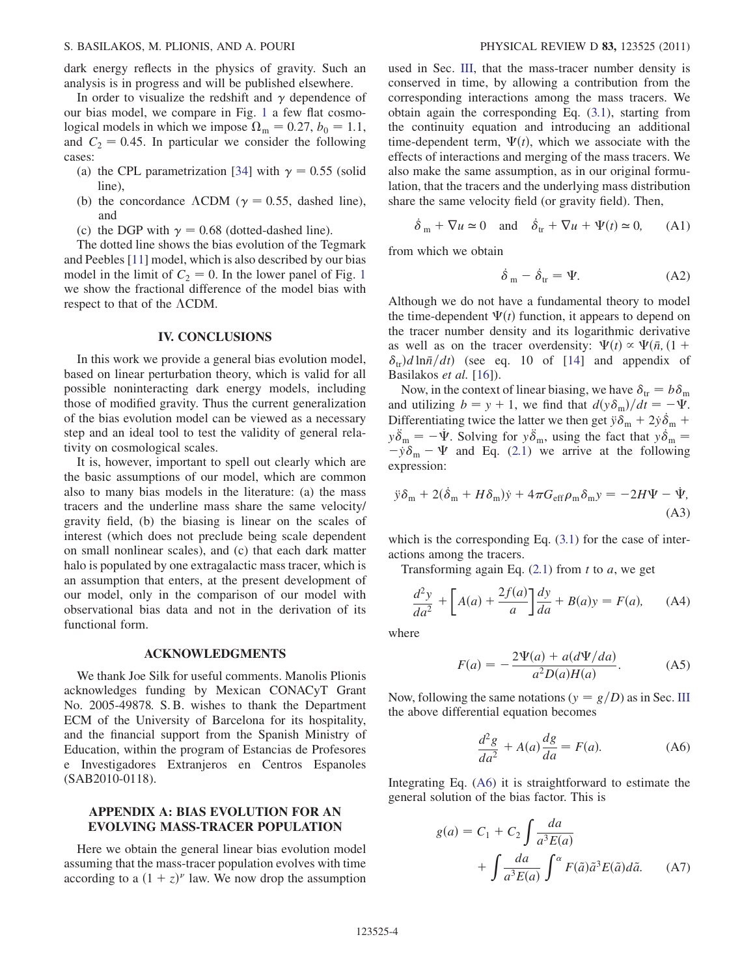#### S. BASILAKOS, M. PLIONIS, AND A. POURI PHYSICAL REVIEW D 83, 123525 (2011)

dark energy reflects in the physics of gravity. Such an analysis is in progress and will be published elsewhere.

In order to visualize the redshift and  $\gamma$  dependence of our bias model, we compare in Fig. [1](#page-2-3) a few flat cosmological models in which we impose  $\Omega_{\rm m} = 0.27$ ,  $b_0 = 1.1$ , and  $C_2 = 0.45$ . In particular we consider the following cases:

- (a) the CPL parametrization [[34](#page-5-6)] with  $\gamma = 0.55$  (solid line),
- (b) the concordance  $\Lambda$ CDM ( $\gamma = 0.55$ , dashed line), and
- (c) the DGP with  $\gamma = 0.68$  (dotted-dashed line).

The dotted line shows the bias evolution of the Tegmark and Peebles [[11](#page-4-10)] model, which is also described by our bias model in the limit of  $C_2 = 0$ . In the lower panel of Fig. [1](#page-2-3) we show the fractional difference of the model bias with respect to that of the  $\Lambda$ CDM.

### IV. CONCLUSIONS

In this work we provide a general bias evolution model, based on linear perturbation theory, which is valid for all possible noninteracting dark energy models, including those of modified gravity. Thus the current generalization of the bias evolution model can be viewed as a necessary step and an ideal tool to test the validity of general relativity on cosmological scales.

It is, however, important to spell out clearly which are the basic assumptions of our model, which are common also to many bias models in the literature: (a) the mass tracers and the underline mass share the same velocity/ gravity field, (b) the biasing is linear on the scales of interest (which does not preclude being scale dependent on small nonlinear scales), and (c) that each dark matter halo is populated by one extragalactic mass tracer, which is an assumption that enters, at the present development of our model, only in the comparison of our model with observational bias data and not in the derivation of its functional form.

### ACKNOWLEDGMENTS

We thank Joe Silk for useful comments. Manolis Plionis acknowledges funding by Mexican CONACyT Grant No. 2005-49878. S. B. wishes to thank the Department ECM of the University of Barcelona for its hospitality, and the financial support from the Spanish Ministry of Education, within the program of Estancias de Profesores e Investigadores Extranjeros en Centros Espanoles (SAB2010-0118).

## APPENDIX A: BIAS EVOLUTION FOR AN EVOLVING MASS-TRACER POPULATION

Here we obtain the general linear bias evolution model assuming that the mass-tracer population evolves with time according to a  $(1 + z)^{\nu}$  law. We now drop the assumption used in Sec. [III](#page-1-5), that the mass-tracer number density is conserved in time, by allowing a contribution from the corresponding interactions among the mass tracers. We obtain again the corresponding Eq. ([3.1](#page-1-1)), starting from the continuity equation and introducing an additional time-dependent term,  $\Psi(t)$ , which we associate with the effects of interactions and merging of the mass tracers. We also make the same assumption, as in our original formulation, that the tracers and the underlying mass distribution share the same velocity field (or gravity field). Then,

$$
\dot{\delta}_{m} + \nabla u \simeq 0
$$
 and  $\dot{\delta}_{tr} + \nabla u + \Psi(t) \simeq 0$ , (A1)

from which we obtain

$$
\dot{\delta}_{m} - \dot{\delta}_{tr} = \Psi. \tag{A2}
$$

Although we do not have a fundamental theory to model the time-dependent  $\Psi(t)$  function, it appears to depend on the tracer number density and its logarithmic derivative as well as on the tracer overdensity:  $\Psi(t) \propto \Psi(\bar{n}, (1 +$  $\delta_{tr}$ )d ln $\bar{n}/dt$ ) (see eq. 10 of [\[14\]](#page-4-12) and appendix of Basilakos et al. [[16](#page-4-14)]).

Now, in the context of linear biasing, we have  $\delta_{tr} = b \delta_{m}$ and utilizing  $b = y + 1$ , we find that  $d(y\delta_{\rm m})/dt = -\Psi$ . Differentiating twice the latter we then get  $\ddot{y}\delta_m + 2\dot{y}\dot{\delta}_m + \delta$  $y\ddot{\delta}_{m} = -\dot{\Psi}$ . Solving for  $y\ddot{\delta}_{m}$ , using the fact that  $y\dot{\delta}_{m} =$  $-\dot{y}\delta_m - \Psi$  and Eq. [\(2.1\)](#page-1-0) we arrive at the following expression:

$$
\ddot{y}\delta_{\rm m} + 2(\dot{\delta}_{\rm m} + H\delta_{\rm m})\dot{y} + 4\pi G_{\rm eff}\rho_{\rm m}\delta_{\rm m}y = -2H\Psi - \dot{\Psi},\tag{A3}
$$

which is the corresponding Eq.  $(3.1)$  $(3.1)$  $(3.1)$  for the case of interactions among the tracers.

Transforming again Eq.  $(2.1)$  from t to a, we get

$$
\frac{d^2y}{da^2} + \left[A(a) + \frac{2f(a)}{a}\right]\frac{dy}{da} + B(a)y = F(a), \quad (A4)
$$

<span id="page-3-1"></span>where

$$
F(a) = -\frac{2\Psi(a) + a(d\Psi/da)}{a^2 D(a)H(a)}.
$$
 (A5)

<span id="page-3-0"></span>Now, following the same notations ( $y = g/D$ ) as in Sec. [III](#page-1-5) the above differential equation becomes

$$
\frac{d^2g}{da^2} + A(a)\frac{dg}{da} = F(a).
$$
 (A6)

Integrating Eq. ([A6](#page-3-0)) it is straightforward to estimate the general solution of the bias factor. This is

$$
g(a) = C_1 + C_2 \int \frac{da}{a^3 E(a)} + \int \frac{da}{a^3 E(a)} \int^{\alpha} F(\tilde{a}) \tilde{a}^3 E(\tilde{a}) d\tilde{a}.
$$
 (A7)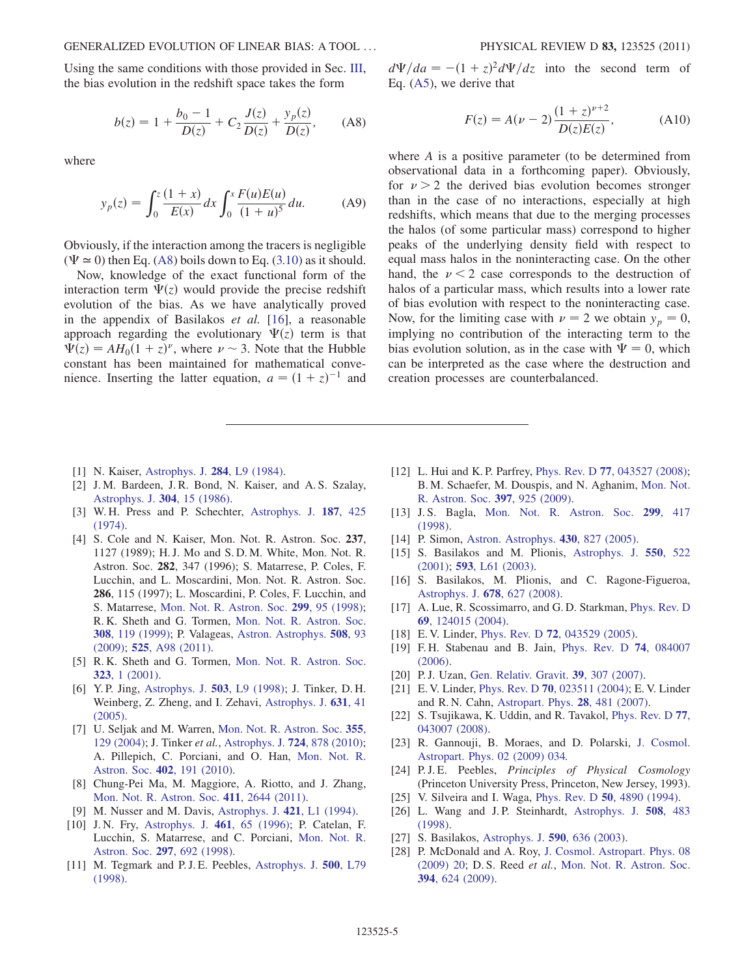<span id="page-4-25"></span>Using the same conditions with those provided in Sec. [III](#page-1-5), the bias evolution in the redshift space takes the form

$$
b(z) = 1 + \frac{b_0 - 1}{D(z)} + C_2 \frac{J(z)}{D(z)} + \frac{y_p(z)}{D(z)},
$$
 (A8)

where

$$
y_p(z) = \int_0^z \frac{(1+x)}{E(x)} dx \int_0^x \frac{F(u)E(u)}{(1+u)^5} du.
$$
 (A9)

Obviously, if the interaction among the tracers is negligible  $(\Psi \approx 0)$  then Eq. ([A8\)](#page-4-25) boils down to Eq. [\(3.10\)](#page-2-4) as it should.

Now, knowledge of the exact functional form of the interaction term  $\Psi(z)$  would provide the precise redshift evolution of the bias. As we have analytically proved in the appendix of Basilakos et al. [\[16\]](#page-4-14), a reasonable approach regarding the evolutionary  $\Psi(z)$  term is that  $\Psi(z) = AH_0(1+z)^{\nu}$ , where  $\nu \sim 3$ . Note that the Hubble constant has been maintained for mathematical convenience. Inserting the latter equation,  $a = (1 + z)^{-1}$  and

<span id="page-4-1"></span><span id="page-4-0"></span>[1] N. Kaiser, [Astrophys. J.](http://dx.doi.org/10.1086/184341) **284**, L9 (1984).

- [2] J. M. Bardeen, J. R. Bond, N. Kaiser, and A. S. Szalay, [Astrophys. J.](http://dx.doi.org/10.1086/164143) 304, 15 (1986).
- <span id="page-4-2"></span>[3] W. H. Press and P. Schechter, [Astrophys. J.](http://dx.doi.org/10.1086/152650) 187, 425 [\(1974\)](http://dx.doi.org/10.1086/152650).
- <span id="page-4-3"></span>[4] S. Cole and N. Kaiser, Mon. Not. R. Astron. Soc. 237, 1127 (1989); H. J. Mo and S. D. M. White, Mon. Not. R. Astron. Soc. 282, 347 (1996); S. Matarrese, P. Coles, F. Lucchin, and L. Moscardini, Mon. Not. R. Astron. Soc. 286, 115 (1997); L. Moscardini, P. Coles, F. Lucchin, and S. Matarrese, [Mon. Not. R. Astron. Soc.](http://dx.doi.org/10.1046/j.1365-8711.1998.01728.x) 299, 95 (1998); R. K. Sheth and G. Tormen, [Mon. Not. R. Astron. Soc.](http://dx.doi.org/10.1046/j.1365-8711.1999.02692.x) 308[, 119 \(1999\);](http://dx.doi.org/10.1046/j.1365-8711.1999.02692.x) P. Valageas, [Astron. Astrophys.](http://dx.doi.org/10.1051/0004-6361/200912486) 508, 93 [\(2009\)](http://dx.doi.org/10.1051/0004-6361/200912486); 525[, A98 \(2011\).](http://dx.doi.org/10.1051/0004-6361/201015699)
- <span id="page-4-4"></span>[5] R. K. Sheth and G. Tormen, [Mon. Not. R. Astron. Soc.](http://dx.doi.org/10.1046/j.1365-8711.2001.04006.x) 323[, 1 \(2001\)](http://dx.doi.org/10.1046/j.1365-8711.2001.04006.x).
- <span id="page-4-5"></span>[6] Y. P. Jing, [Astrophys. J.](http://dx.doi.org/10.1086/311530) 503, L9 (1998); J. Tinker, D. H. Weinberg, Z. Zheng, and I. Zehavi, [Astrophys. J.](http://dx.doi.org/10.1086/432084) 631, 41 [\(2005\)](http://dx.doi.org/10.1086/432084).
- <span id="page-4-6"></span>[7] U. Seljak and M. Warren, [Mon. Not. R. Astron. Soc.](http://dx.doi.org/10.1111/j.1365-2966.2004.08297.x) 355, [129 \(2004\);](http://dx.doi.org/10.1111/j.1365-2966.2004.08297.x) J. Tinker et al., [Astrophys. J.](http://dx.doi.org/10.1088/0004-637X/724/2/878) 724, 878 (2010); A. Pillepich, C. Porciani, and O. Han, [Mon. Not. R.](http://dx.doi.org/10.1111/j.1365-2966.2009.15914.x) Astron. Soc. 402[, 191 \(2010\).](http://dx.doi.org/10.1111/j.1365-2966.2009.15914.x)
- <span id="page-4-7"></span>[8] Chung-Pei Ma, M. Maggiore, A. Riotto, and J. Zhang, [Mon. Not. R. Astron. Soc.](http://dx.doi.org/10.1111/j.1365-2966.2010.17871.x) 411, 2644 (2011).
- <span id="page-4-22"></span><span id="page-4-8"></span>[9] M. Nusser and M. Davis, [Astrophys. J.](http://dx.doi.org/10.1086/187172) 421, L1 (1994).
- [10] J. N. Fry, [Astrophys. J.](http://dx.doi.org/10.1086/310006) 461, 65 (1996); P. Catelan, F. Lucchin, S. Matarrese, and C. Porciani, [Mon. Not. R.](http://dx.doi.org/10.1046/j.1365-8711.1998.01455.x) Astron. Soc. 297[, 692 \(1998\).](http://dx.doi.org/10.1046/j.1365-8711.1998.01455.x)
- <span id="page-4-10"></span>[11] M. Tegmark and P.J.E. Peebles, [Astrophys. J.](http://dx.doi.org/10.1086/311426) 500, L79 [\(1998\)](http://dx.doi.org/10.1086/311426).

 $d\Psi/da = -(1+z)^2 d\Psi/dz$  into the second term of Eq. ([A5](#page-3-1)), we derive that

$$
F(z) = A(\nu - 2) \frac{(1+z)^{\nu+2}}{D(z)E(z)},
$$
 (A10)

where A is a positive parameter (to be determined from observational data in a forthcoming paper). Obviously, for  $\nu > 2$  the derived bias evolution becomes stronger than in the case of no interactions, especially at high redshifts, which means that due to the merging processes the halos (of some particular mass) correspond to higher peaks of the underlying density field with respect to equal mass halos in the noninteracting case. On the other hand, the  $\nu < 2$  case corresponds to the destruction of halos of a particular mass, which results into a lower rate of bias evolution with respect to the noninteracting case. Now, for the limiting case with  $\nu = 2$  we obtain  $y_p = 0$ , implying no contribution of the interacting term to the bias evolution solution, as in the case with  $\Psi = 0$ , which can be interpreted as the case where the destruction and creation processes are counterbalanced.

- <span id="page-4-9"></span>[12] L. Hui and K. P. Parfrey, Phys. Rev. D 77[, 043527 \(2008\)](http://dx.doi.org/10.1103/PhysRevD.77.043527); B. M. Schaefer, M. Douspis, and N. Aghanim, [Mon. Not.](http://dx.doi.org/10.1111/j.1365-2966.2009.14991.x) [R. Astron. Soc.](http://dx.doi.org/10.1111/j.1365-2966.2009.14991.x) 397, 925 (2009).
- <span id="page-4-11"></span>[13] J. S. Bagla, [Mon. Not. R. Astron. Soc.](http://dx.doi.org/10.1046/j.1365-8711.1998.01788.x) 299, 417 [\(1998\)](http://dx.doi.org/10.1046/j.1365-8711.1998.01788.x).
- <span id="page-4-13"></span><span id="page-4-12"></span>[14] P. Simon, [Astron. Astrophys.](http://dx.doi.org/10.1051/0004-6361:20041450) **430**, 827 (2005).
- [15] S. Basilakos and M. Plionis, [Astrophys. J.](http://dx.doi.org/10.1086/319797) 550, 522 [\(2001\)](http://dx.doi.org/10.1086/319797); 593[, L61 \(2003\).](http://dx.doi.org/10.1086/378309)
- <span id="page-4-14"></span>[16] S. Basilakos, M. Plionis, and C. Ragone-Figueroa, [Astrophys. J.](http://dx.doi.org/10.1086/586725) 678, 627 (2008).
- <span id="page-4-15"></span>[17] A. Lue, R. Scossimarro, and G. D. Starkman, [Phys. Rev. D](http://dx.doi.org/10.1103/PhysRevD.69.124015) 69[, 124015 \(2004\)](http://dx.doi.org/10.1103/PhysRevD.69.124015).
- [18] E.V. Linder, Phys. Rev. D **72**[, 043529 \(2005\)](http://dx.doi.org/10.1103/PhysRevD.72.043529).
- [19] F. H. Stabenau and B. Jain, [Phys. Rev. D](http://dx.doi.org/10.1103/PhysRevD.74.084007) 74, 084007 [\(2006\)](http://dx.doi.org/10.1103/PhysRevD.74.084007).
- <span id="page-4-18"></span>[20] P. J. Uzan, [Gen. Relativ. Gravit.](http://dx.doi.org/10.1007/s10714-006-0385-z) 39, 307 (2007).
- [21] E. V. Linder, Phys. Rev. D 70[, 023511 \(2004\);](http://dx.doi.org/10.1103/PhysRevD.70.023511) E. V. Linder and R. N. Cahn, [Astropart. Phys.](http://dx.doi.org/10.1016/j.astropartphys.2007.09.003) 28, 481 (2007).
- <span id="page-4-21"></span>[22] S. Tsujikawa, K. Uddin, and R. Tavakol, [Phys. Rev. D](http://dx.doi.org/10.1103/PhysRevD.77.043007) 77, [043007 \(2008\).](http://dx.doi.org/10.1103/PhysRevD.77.043007)
- <span id="page-4-16"></span>[23] R. Gannouji, B. Moraes, and D. Polarski, [J. Cosmol.](http://dx.doi.org/10.1088/1475-7516/2009/02/034) [Astropart. Phys. 02 \(2009\) 034.](http://dx.doi.org/10.1088/1475-7516/2009/02/034)
- <span id="page-4-17"></span>[24] P.J.E. Peebles, *Principles of Physical Cosmology* (Princeton University Press, Princeton, New Jersey, 1993).
- <span id="page-4-23"></span><span id="page-4-19"></span>[25] V. Silveira and I. Waga, Phys. Rev. D **50**[, 4890 \(1994\)](http://dx.doi.org/10.1103/PhysRevD.50.4890).
- [26] L. Wang and J.P. Steinhardt, [Astrophys. J.](http://dx.doi.org/10.1086/306436) 508, 483 [\(1998\)](http://dx.doi.org/10.1086/306436).
- <span id="page-4-24"></span><span id="page-4-20"></span>[27] S. Basilakos, [Astrophys. J.](http://dx.doi.org/10.1086/375154) 590, 636 (2003).
- [28] P. McDonald and A. Roy, [J. Cosmol. Astropart. Phys. 08](http://dx.doi.org/10.1088/1475-7516/2009/08/020) [\(2009\) 20](http://dx.doi.org/10.1088/1475-7516/2009/08/020); D. S. Reed et al., [Mon. Not. R. Astron. Soc.](http://dx.doi.org/10.1111/j.1365-2966.2008.14333.x) 394[, 624 \(2009\).](http://dx.doi.org/10.1111/j.1365-2966.2008.14333.x)